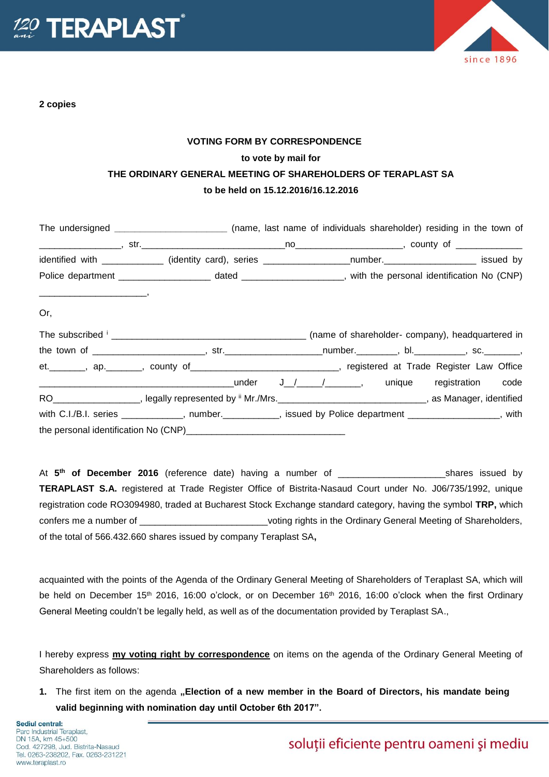

**2 copies**



## **VOTING FORM BY CORRESPONDENCE to vote by mail for THE ORDINARY GENERAL MEETING OF SHAREHOLDERS OF TERAPLAST SA to be held on 15.12.2016/16.12.2016**

|                                                                                                                                                                                                                                                                                                                                                                                                                                                                                                    |                                                                                                                                            | The undersigned ___________________________(name, last name of individuals shareholder) residing in the town of |  |  |
|----------------------------------------------------------------------------------------------------------------------------------------------------------------------------------------------------------------------------------------------------------------------------------------------------------------------------------------------------------------------------------------------------------------------------------------------------------------------------------------------------|--------------------------------------------------------------------------------------------------------------------------------------------|-----------------------------------------------------------------------------------------------------------------|--|--|
|                                                                                                                                                                                                                                                                                                                                                                                                                                                                                                    |                                                                                                                                            |                                                                                                                 |  |  |
|                                                                                                                                                                                                                                                                                                                                                                                                                                                                                                    | identified with _____________ (identity card), series __________________number._____________________ issued by                             |                                                                                                                 |  |  |
|                                                                                                                                                                                                                                                                                                                                                                                                                                                                                                    |                                                                                                                                            |                                                                                                                 |  |  |
| $\begin{tabular}{cccccc} \multicolumn{2}{c} {\textbf{1}} & \multicolumn{2}{c} {\textbf{2}} & \multicolumn{2}{c} {\textbf{3}} & \multicolumn{2}{c} {\textbf{4}} & \multicolumn{2}{c} {\textbf{5}} & \multicolumn{2}{c} {\textbf{6}} & \multicolumn{2}{c} {\textbf{7}} & \multicolumn{2}{c} {\textbf{8}} & \multicolumn{2}{c} {\textbf{9}} & \multicolumn{2}{c} {\textbf{1}} & \multicolumn{2}{c} {\textbf{1}} & \multicolumn{2}{c} {\textbf{1}} & \multicolumn{2}{c} {\textbf{1}} & \multic$<br>Or, |                                                                                                                                            |                                                                                                                 |  |  |
|                                                                                                                                                                                                                                                                                                                                                                                                                                                                                                    |                                                                                                                                            |                                                                                                                 |  |  |
|                                                                                                                                                                                                                                                                                                                                                                                                                                                                                                    |                                                                                                                                            |                                                                                                                 |  |  |
|                                                                                                                                                                                                                                                                                                                                                                                                                                                                                                    | et. _______, ap. ______, county of __________________________, registered at Trade Register Law Office                                     |                                                                                                                 |  |  |
|                                                                                                                                                                                                                                                                                                                                                                                                                                                                                                    |                                                                                                                                            |                                                                                                                 |  |  |
|                                                                                                                                                                                                                                                                                                                                                                                                                                                                                                    | RO <sub>___________________</sub> , legally represented by <sup>ii</sup> Mr./Mrs. ________________________________, as Manager, identified |                                                                                                                 |  |  |
|                                                                                                                                                                                                                                                                                                                                                                                                                                                                                                    | with C.I./B.I. series ____________, number._________, issued by Police department ______________, with                                     |                                                                                                                 |  |  |
|                                                                                                                                                                                                                                                                                                                                                                                                                                                                                                    |                                                                                                                                            |                                                                                                                 |  |  |

At **5 th of December 2016** (reference date) having a number of \_\_\_\_\_\_\_\_\_\_\_\_\_\_\_\_\_\_\_\_\_shares issued by **TERAPLAST S.A.** registered at Trade Register Office of Bistrita-Nasaud Court under No. J06/735/1992, unique registration code RO3094980, traded at Bucharest Stock Exchange standard category, having the symbol **TRP,** which confers me a number of  $\blacksquare$   $\blacksquare$   $\blacksquare$  voting rights in the Ordinary General Meeting of Shareholders, of the total of 566.432.660 shares issued by company Teraplast SA**,**

acquainted with the points of the Agenda of the Ordinary General Meeting of Shareholders of Teraplast SA, which will be held on December 15<sup>th</sup> 2016, 16:00 o'clock, or on December 16<sup>th</sup> 2016, 16:00 o'clock when the first Ordinary General Meeting couldn't be legally held, as well as of the documentation provided by Teraplast SA.,

I hereby express **my voting right by correspondence** on items on the agenda of the Ordinary General Meeting of Shareholders as follows:

**1.** The first item on the agenda "Election of a new member in the Board of Directors, his mandate being **valid beginning with nomination day until October 6th 2017".**

soluții eficiente pentru oameni și mediu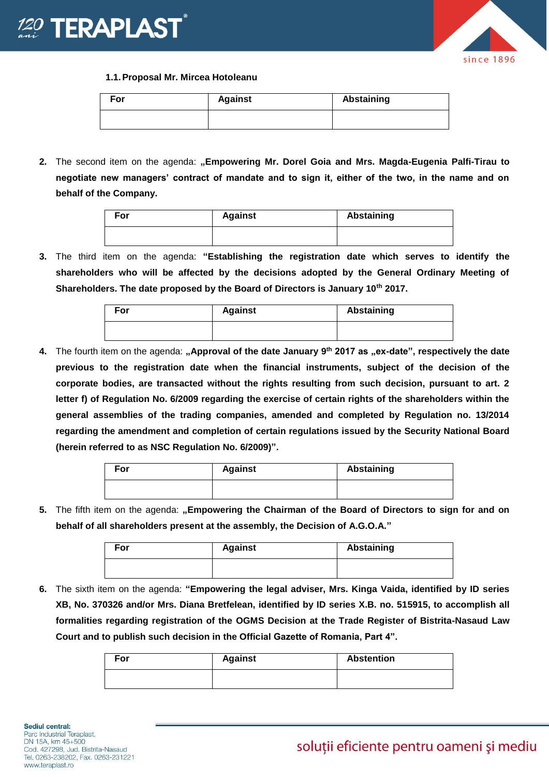



**1.1.Proposal Mr. Mircea Hotoleanu**

| For | <b>Against</b> | <b>Abstaining</b> |
|-----|----------------|-------------------|
|     |                |                   |

**2.** The second item on the agenda: **"Empowering Mr. Dorel Goia and Mrs. Magda-Eugenia Palfi-Tirau to negotiate new managers' contract of mandate and to sign it, either of the two, in the name and on behalf of the Company.** 

| For | <b>Against</b> | Abstaining |
|-----|----------------|------------|
|     |                |            |

**3.** The third item on the agenda: **"Establishing the registration date which serves to identify the shareholders who will be affected by the decisions adopted by the General Ordinary Meeting of Shareholders. The date proposed by the Board of Directors is January 10th 2017.**

| For | <b>Against</b> | Abstaining |
|-----|----------------|------------|
|     |                |            |

**4.** The fourth item on the agenda: **"Approval of the date January 9th 2017 as "ex-date", respectively the date previous to the registration date when the financial instruments, subject of the decision of the corporate bodies, are transacted without the rights resulting from such decision, pursuant to art. 2 letter f) of Regulation No. 6/2009 regarding the exercise of certain rights of the shareholders within the general assemblies of the trading companies, amended and completed by Regulation no. 13/2014 regarding the amendment and completion of certain regulations issued by the Security National Board (herein referred to as NSC Regulation No. 6/2009)".** 

| For | <b>Against</b> | <b>Abstaining</b> |
|-----|----------------|-------------------|
|     |                |                   |

**5.** The fifth item on the agenda: **"Empowering the Chairman of the Board of Directors to sign for and on behalf of all shareholders present at the assembly, the Decision of A.G.O.A."**

| For | <b>Against</b> | Abstaining |
|-----|----------------|------------|
|     |                |            |

**6.** The sixth item on the agenda: **"Empowering the legal adviser, Mrs. Kinga Vaida, identified by ID series XB, No. 370326 and/or Mrs. Diana Bretfelean, identified by ID series X.B. no. 515915, to accomplish all formalities regarding registration of the OGMS Decision at the Trade Register of Bistrita-Nasaud Law Court and to publish such decision in the Official Gazette of Romania, Part 4".** 

| For | <b>Against</b> | <b>Abstention</b> |
|-----|----------------|-------------------|
|     |                |                   |